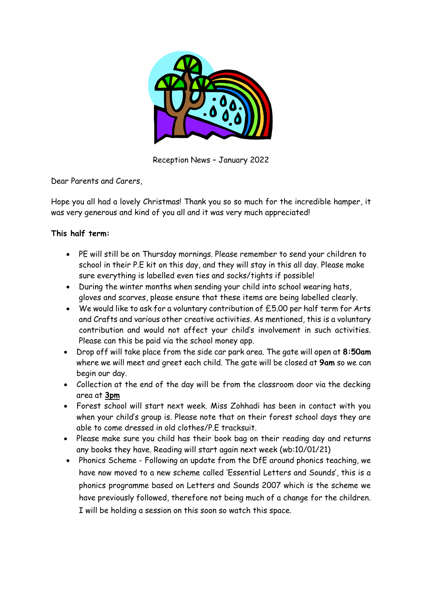

Reception News – January 2022

Dear Parents and Carers,

Hope you all had a lovely Christmas! Thank you so so much for the incredible hamper, it was very generous and kind of you all and it was very much appreciated!

## **This half term:**

- PE will still be on Thursday mornings. Please remember to send your children to school in their P.E kit on this day, and they will stay in this all day. Please make sure everything is labelled even ties and socks/tights if possible!
- During the winter months when sending your child into school wearing hats, gloves and scarves, please ensure that these items are being labelled clearly.
- We would like to ask for a voluntary contribution of £5.00 per half term for Arts and Crafts and various other creative activities. As mentioned, this is a voluntary contribution and would not affect your child's involvement in such activities. Please can this be paid via the school money app.
- Drop off will take place from the side car park area. The gate will open at **8:50am** where we will meet and greet each child. The gate will be closed at **9am** so we can begin our day.
- Collection at the end of the day will be from the classroom door via the decking area at **3pm**
- Forest school will start next week. Miss Zohhadi has been in contact with you when your child's group is. Please note that on their forest school days they are able to come dressed in old clothes/P.E tracksuit.
- Please make sure you child has their book bag on their reading day and returns any books they have. Reading will start again next week (wb:10/01/21)
- Phonics Scheme Following an update from the DfE around phonics teaching, we have now moved to a new scheme called 'Essential Letters and Sounds', this is a phonics programme based on Letters and Sounds 2007 which is the scheme we have previously followed, therefore not being much of a change for the children. I will be holding a session on this soon so watch this space.